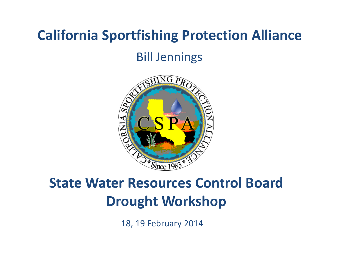#### **California Sportfishing Protection Alliance**

#### Bill Jennings



#### **State Water Resources Control Board Drought Workshop**

18, 19 February 2014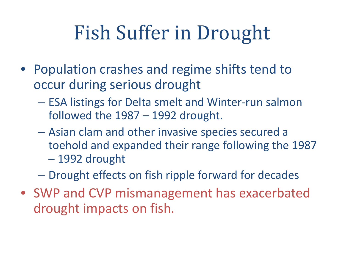# Fish Suffer in Drought

- Population crashes and regime shifts tend to occur during serious drought
	- ESA listings for Delta smelt and Winter-run salmon followed the 1987 – 1992 drought.
	- Asian clam and other invasive species secured a toehold and expanded their range following the 1987 – 1992 drought
	- Drought effects on fish ripple forward for decades
- SWP and CVP mismanagement has exacerbated drought impacts on fish.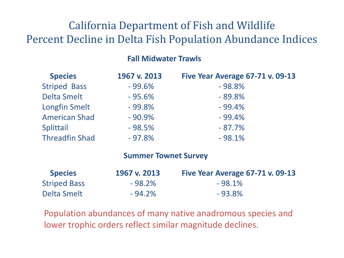#### California Department of Fish and Wildlife Percent Decline in Delta Fish Population Abundance Indices

#### **Fall Midwater Trawls**

| <b>Species</b>        | 1967 v. 2013                | <b>Five Year Average 67-71 v. 09-13</b> |
|-----------------------|-----------------------------|-----------------------------------------|
| <b>Striped Bass</b>   | $-99.6%$                    | $-98.8%$                                |
| <b>Delta Smelt</b>    | $-95.6%$                    | $-89.8%$                                |
| <b>Longfin Smelt</b>  | $-99.8%$                    | $-99.4%$                                |
| <b>American Shad</b>  | $-90.9%$                    | $-99.4%$                                |
| Splittail             | $-98.5%$                    | $-87.7%$                                |
| <b>Threadfin Shad</b> | $-97.8%$                    | $-98.1%$                                |
|                       | <b>Summer Townet Survey</b> |                                         |

| <b>Species</b>      | 1967 v. 2013 | Five Year Average 67-71 v. 09-13 |
|---------------------|--------------|----------------------------------|
| <b>Striped Bass</b> | $-98.2%$     | $-98.1\%$                        |
| Delta Smelt         | $-94.2%$     | $-93.8%$                         |

Population abundances of many native anadromous species and lower trophic orders reflect similar magnitude declines.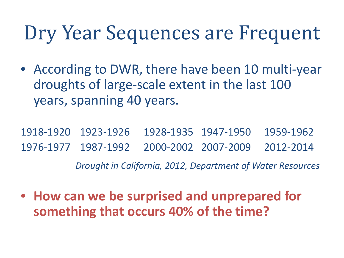### Dry Year Sequences are Frequent

• According to DWR, there have been 10 multi-year droughts of large-scale extent in the last 100 years, spanning 40 years.

1918-1920 1923-1926 1928-1935 1947-1950 1959-1962 1976-1977 1987-1992 2000-2002 2007-2009 2012-2014 *Drought in California, 2012, Department of Water Resources*

• **How can we be surprised and unprepared for something that occurs 40% of the time?**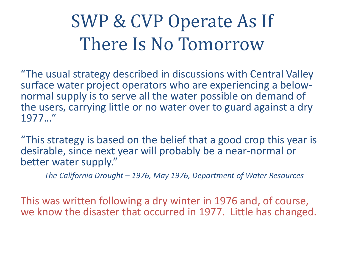#### SWP & CVP Operate As If There Is No Tomorrow

"The usual strategy described in discussions with Central Valley normal supply is to serve all the water possible on demand of the users, carrying little or no water over to guard against a dry 1977…"

"This strategy is based on the belief that a good crop this year is desirable, since next year will probably be a near-normal or better water supply."

*The California Drought – 1976, May 1976, Department of Water Resources*

This was written following a dry winter in 1976 and, of course, we know the disaster that occurred in 1977. Little has changed.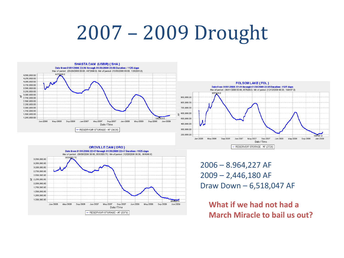## 2007 – 2009 Drought







2006 – 8.964,227 AF 2009 – 2,446,180 AF Draw Down – 6,518,047 AF

**What if we had not had a March Miracle to bail us out?**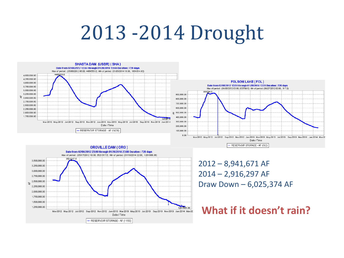## 2013 -2014 Drought







2012 – 8,941,671 AF 2014 – 2,916,297 AF Draw Down – 6,025,374 AF

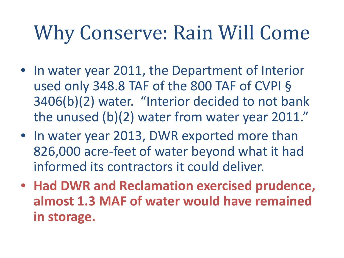## Why Conserve: Rain Will Come

- In water year 2011, the Department of Interior used only 348.8 TAF of the 800 TAF of CVPI § 3406(b)(2) water. "Interior decided to not bank the unused (b)(2) water from water year 2011."
- In water year 2013, DWR exported more than 826,000 acre-feet of water beyond what it had informed its contractors it could deliver.
- **Had DWR and Reclamation exercised prudence, almost 1.3 MAF of water would have remained in storage.**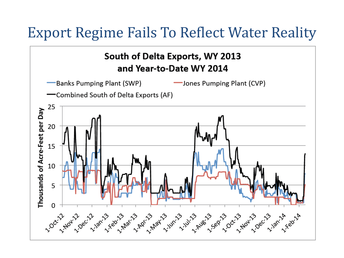#### Export Regime Fails To Reflect Water Reality

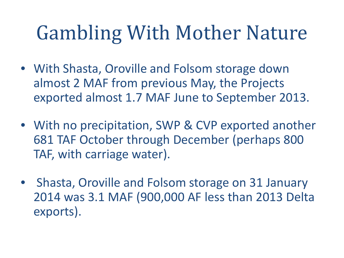# Gambling With Mother Nature

- With Shasta, Oroville and Folsom storage down almost 2 MAF from previous May, the Projects exported almost 1.7 MAF June to September 2013.
- With no precipitation, SWP & CVP exported another 681 TAF October through December (perhaps 800 TAF, with carriage water).
- Shasta, Oroville and Folsom storage on 31 January 2014 was 3.1 MAF (900,000 AF less than 2013 Delta exports).